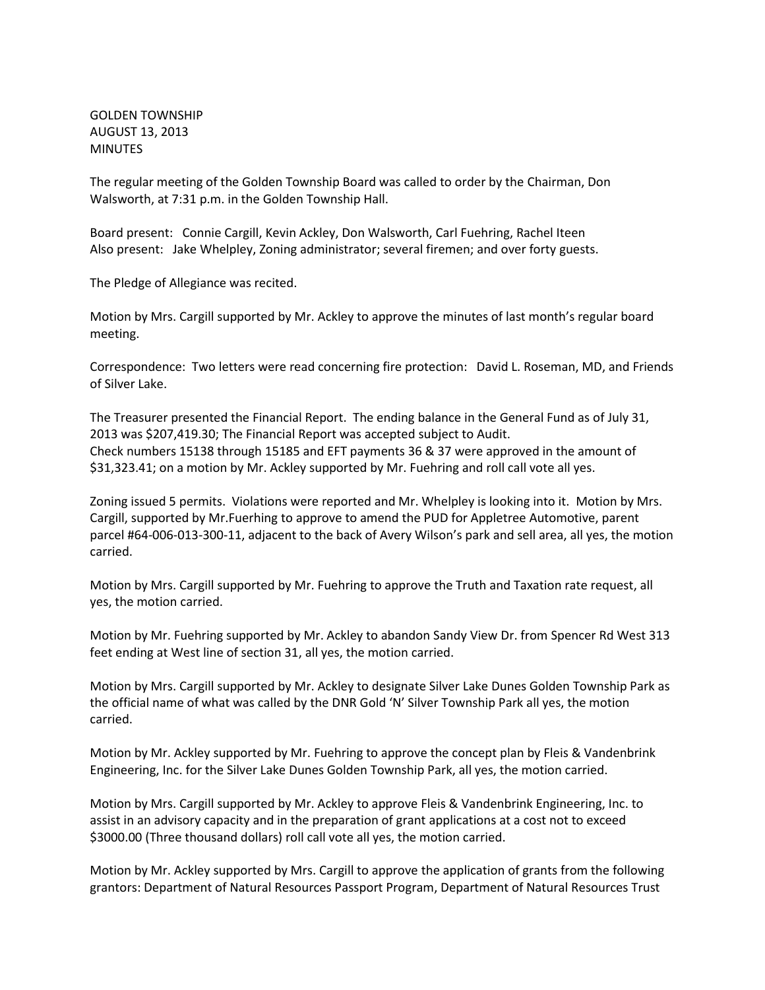GOLDEN TOWNSHIP AUGUST 13, 2013 MINUTES

The regular meeting of the Golden Township Board was called to order by the Chairman, Don Walsworth, at 7:31 p.m. in the Golden Township Hall.

Board present: Connie Cargill, Kevin Ackley, Don Walsworth, Carl Fuehring, Rachel Iteen Also present: Jake Whelpley, Zoning administrator; several firemen; and over forty guests.

The Pledge of Allegiance was recited.

Motion by Mrs. Cargill supported by Mr. Ackley to approve the minutes of last month's regular board meeting.

Correspondence: Two letters were read concerning fire protection: David L. Roseman, MD, and Friends of Silver Lake.

The Treasurer presented the Financial Report. The ending balance in the General Fund as of July 31, 2013 was \$207,419.30; The Financial Report was accepted subject to Audit. Check numbers 15138 through 15185 and EFT payments 36 & 37 were approved in the amount of \$31,323.41; on a motion by Mr. Ackley supported by Mr. Fuehring and roll call vote all yes.

Zoning issued 5 permits. Violations were reported and Mr. Whelpley is looking into it. Motion by Mrs. Cargill, supported by Mr.Fuerhing to approve to amend the PUD for Appletree Automotive, parent parcel #64-006-013-300-11, adjacent to the back of Avery Wilson's park and sell area, all yes, the motion carried.

Motion by Mrs. Cargill supported by Mr. Fuehring to approve the Truth and Taxation rate request, all yes, the motion carried.

Motion by Mr. Fuehring supported by Mr. Ackley to abandon Sandy View Dr. from Spencer Rd West 313 feet ending at West line of section 31, all yes, the motion carried.

Motion by Mrs. Cargill supported by Mr. Ackley to designate Silver Lake Dunes Golden Township Park as the official name of what was called by the DNR Gold 'N' Silver Township Park all yes, the motion carried.

Motion by Mr. Ackley supported by Mr. Fuehring to approve the concept plan by Fleis & Vandenbrink Engineering, Inc. for the Silver Lake Dunes Golden Township Park, all yes, the motion carried.

Motion by Mrs. Cargill supported by Mr. Ackley to approve Fleis & Vandenbrink Engineering, Inc. to assist in an advisory capacity and in the preparation of grant applications at a cost not to exceed \$3000.00 (Three thousand dollars) roll call vote all yes, the motion carried.

Motion by Mr. Ackley supported by Mrs. Cargill to approve the application of grants from the following grantors: Department of Natural Resources Passport Program, Department of Natural Resources Trust